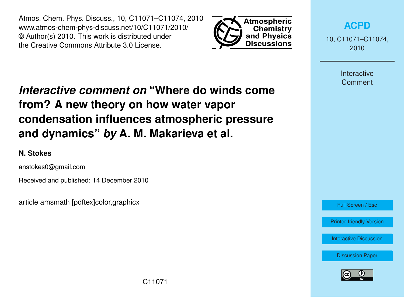Atmos. Chem. Phys. Discuss., 10, C11071–C11074, 2010 www.atmos-chem-phys-discuss.net/10/C11071/2010/ © Author(s) 2010. This work is distributed under the Creative Commons Attribute 3.0 License.



**[ACPD](http://www.atmos-chem-phys-discuss.net)**

10, C11071–C11074, 2010

> **Interactive Comment**

# *Interactive comment on* **"Where do winds come from? A new theory on how water vapor condensation influences atmospheric pressure and dynamics"** *by* **A. M. Makarieva et al.**

### **N. Stokes**

anstokes0@gmail.com

Received and published: 14 December 2010

article amsmath [pdftex]color,graphicx

Full Screen / Esc

[Printer-friendly Version](http://www.atmos-chem-phys-discuss.net/10/C11071/2010/acpd-10-C11071-2010-print.pdf)

[Interactive Discussion](http://www.atmos-chem-phys-discuss.net/10/24015/2010/acpd-10-24015-2010-discussion.html)

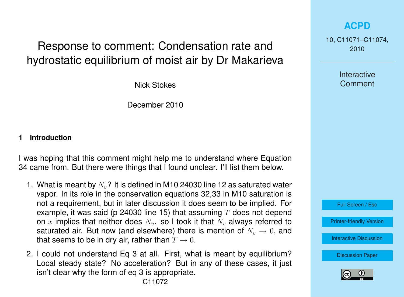# Response to comment: Condensation rate and hydrostatic equilibrium of moist air by Dr Makarieva

Nick Stokes

December 2010

#### **1 Introduction**

I was hoping that this comment might help me to understand where Equation 34 came from. But there were things that I found unclear. I'll list them below.

- 1. What is meant by  $N_v$ ? It is defined in M10 24030 line 12 as saturated water vapor. In its role in the conservation equations 32,33 in M10 saturation is not a requirement, but in later discussion it does seem to be implied. For example, it was said (p 24030 line 15) that assuming  $T$  does not depend on x implies that neither does  $N_{v}$ , so I took it that  $N_{v}$  always referred to saturated air. But now (and elsewhere) there is mention of  $N_v \to 0$ , and that seems to be in dry air, rather than  $T \to 0$ .
- 2. I could not understand Eq 3 at all. First, what is meant by equilibrium? Local steady state? No acceleration? But in any of these cases, it just isn't clear why the form of eq 3 is appropriate.

**[ACPD](http://www.atmos-chem-phys-discuss.net)**

10, C11071–C11074, 2010

> **Interactive Comment**



[Printer-friendly Version](http://www.atmos-chem-phys-discuss.net/10/C11071/2010/acpd-10-C11071-2010-print.pdf)

[Interactive Discussion](http://www.atmos-chem-phys-discuss.net/10/24015/2010/acpd-10-24015-2010-discussion.html)

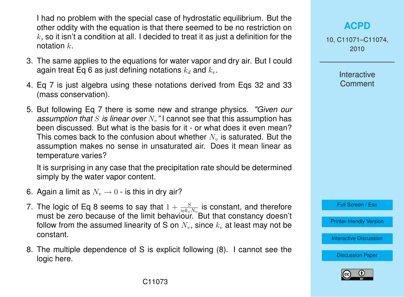I had no problem with the special case of hydrostatic equilibrium. But the other oddity with the equation is that there seemed to be no restriction on  $k$ , so it isn't a condition at all. I decided to treat it as just a definition for the notation  $k$ .

- 3. The same applies to the equations for water vapor and dry air. But I could again treat Eq 6 as just defining notations  $k_d$  and  $k_v$ .
- 4. Eq 7 is just algebra using these notations derived from Eqs 32 and 33 (mass conservation).
- 5. But following Eq 7 there is some new and strange physics. *"Given our assumption that* S *is linear over*  $N<sub>v</sub>$ " I cannot see that this assumption has been discussed. But what is the basis for it - or what does it even mean? This comes back to the confusion about whether  $N<sub>v</sub>$  is saturated. But the assumption makes no sense in unsaturated air. Does it mean linear as temperature varies?

It is surprising in any case that the precipitation rate should be determined simply by the water vapor content.

- 6. Again a limit as  $N_v \rightarrow 0$  is this in dry air?
- 7. The logic of Eq 8 seems to say that  $1 + \frac{S}{w k_v N_v}$  is constant, and therefore must be zero because of the limit behaviour. But that constancy doesn't follow from the assumed linearity of S on  $N_v$ , since  $k_v$  at least may not be constant.
- 8. The multiple dependence of S is explicit following (8). I cannot see the logic here.

### **[ACPD](http://www.atmos-chem-phys-discuss.net)**

10, C11071–C11074, 2010

> **Interactive Comment**

Full Screen / Esc

[Printer-friendly Version](http://www.atmos-chem-phys-discuss.net/10/C11071/2010/acpd-10-C11071-2010-print.pdf)

[Interactive Discussion](http://www.atmos-chem-phys-discuss.net/10/24015/2010/acpd-10-24015-2010-discussion.html)